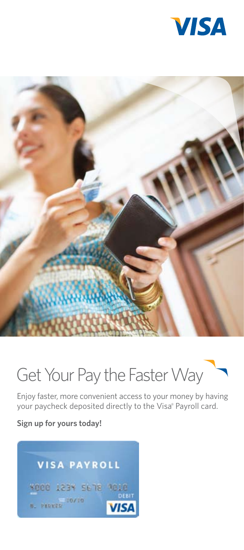



# Get Your Pay the Faster Way

Enjoy faster, more convenient access to your money by having your paycheck deposited directly to the Visa® Payroll card.

**Sign up for yours today!**